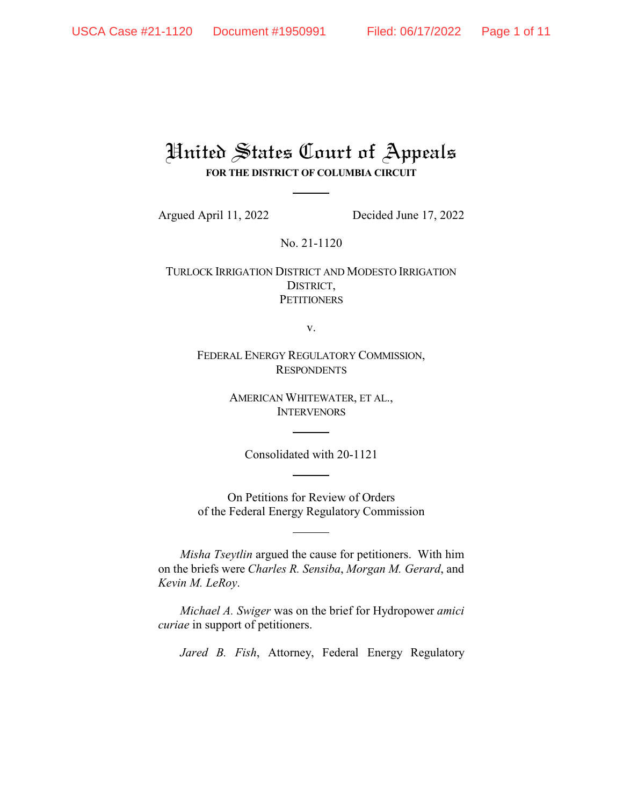## United States Court of Appeals **FOR THE DISTRICT OF COLUMBIA CIRCUIT**

Argued April 11, 2022 Decided June 17, 2022

No. 21-1120

TURLOCK IRRIGATION DISTRICT AND MODESTO IRRIGATION DISTRICT, **PETITIONERS** 

v.

FEDERAL ENERGY REGULATORY COMMISSION, **RESPONDENTS** 

> AMERICAN WHITEWATER, ET AL., **INTERVENORS**

Consolidated with 20-1121

On Petitions for Review of Orders of the Federal Energy Regulatory Commission

*Misha Tseytlin* argued the cause for petitioners. With him on the briefs were *Charles R. Sensiba*, *Morgan M. Gerard*, and *Kevin M. LeRoy*.

*Michael A. Swiger* was on the brief for Hydropower *amici curiae* in support of petitioners.

*Jared B. Fish*, Attorney, Federal Energy Regulatory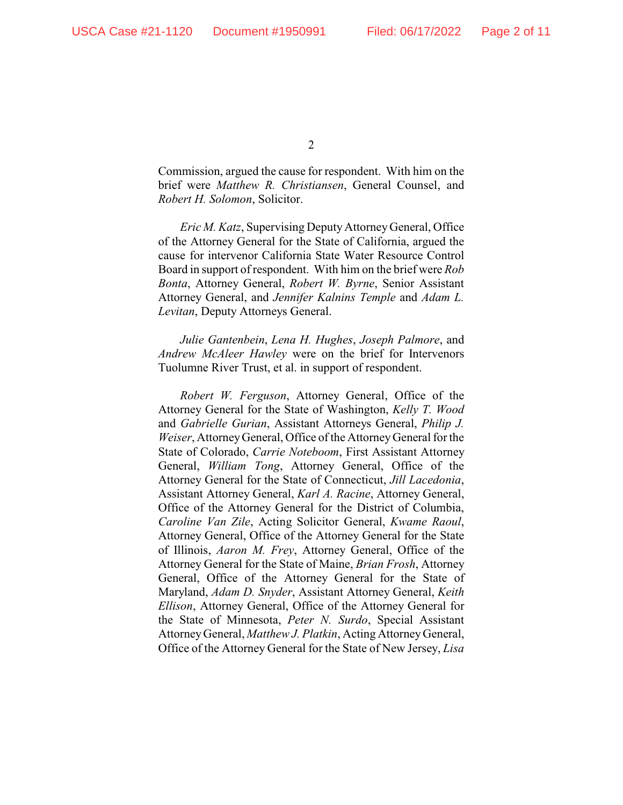Commission, argued the cause for respondent. With him on the brief were *Matthew R. Christiansen*, General Counsel, and *Robert H. Solomon*, Solicitor.

*Eric M. Katz*, Supervising DeputyAttorney General, Office of the Attorney General for the State of California, argued the cause for intervenor California State Water Resource Control Board in support of respondent. With him on the brief were *Rob Bonta*, Attorney General, *Robert W. Byrne*, Senior Assistant Attorney General, and *Jennifer Kalnins Temple* and *Adam L. Levitan*, Deputy Attorneys General.

*Julie Gantenbein*, *Lena H. Hughes*, *Joseph Palmore*, and *Andrew McAleer Hawley* were on the brief for Intervenors Tuolumne River Trust, et al. in support of respondent.

*Robert W. Ferguson*, Attorney General, Office of the Attorney General for the State of Washington, *Kelly T. Wood* and *Gabrielle Gurian*, Assistant Attorneys General, *Philip J. Weiser*, AttorneyGeneral, Office of the AttorneyGeneral for the State of Colorado, *Carrie Noteboom*, First Assistant Attorney General, *William Tong*, Attorney General, Office of the Attorney General for the State of Connecticut, *Jill Lacedonia*, Assistant Attorney General, *Karl A. Racine*, Attorney General, Office of the Attorney General for the District of Columbia, *Caroline Van Zile*, Acting Solicitor General, *Kwame Raoul*, Attorney General, Office of the Attorney General for the State of Illinois, *Aaron M. Frey*, Attorney General, Office of the Attorney General for the State of Maine, *Brian Frosh*, Attorney General, Office of the Attorney General for the State of Maryland, *Adam D. Snyder*, Assistant Attorney General, *Keith Ellison*, Attorney General, Office of the Attorney General for the State of Minnesota, *Peter N. Surdo*, Special Assistant AttorneyGeneral, *Matthew J. Platkin*, Acting AttorneyGeneral, Office of the Attorney General for the State of New Jersey, *Lisa*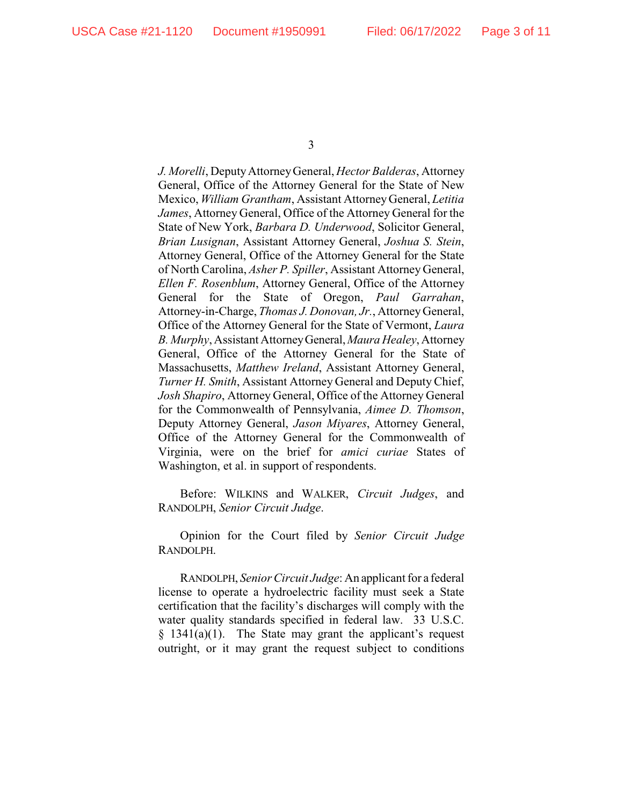*J. Morelli*, DeputyAttorneyGeneral, *Hector Balderas*, Attorney General, Office of the Attorney General for the State of New Mexico, *William Grantham*, Assistant AttorneyGeneral, *Letitia James*, Attorney General, Office of the Attorney General for the State of New York, *Barbara D. Underwood*, Solicitor General, *Brian Lusignan*, Assistant Attorney General, *Joshua S. Stein*, Attorney General, Office of the Attorney General for the State of North Carolina, *Asher P. Spiller*, Assistant Attorney General, *Ellen F. Rosenblum*, Attorney General, Office of the Attorney General for the State of Oregon, *Paul Garrahan*, Attorney-in-Charge, *Thomas J. Donovan, Jr.*, AttorneyGeneral, Office of the Attorney General for the State of Vermont, *Laura B. Murphy*, Assistant AttorneyGeneral,*Maura Healey*, Attorney General, Office of the Attorney General for the State of Massachusetts, *Matthew Ireland*, Assistant Attorney General, *Turner H. Smith*, Assistant Attorney General and Deputy Chief, *Josh Shapiro*, Attorney General, Office of the Attorney General for the Commonwealth of Pennsylvania, *Aimee D. Thomson*, Deputy Attorney General, *Jason Miyares*, Attorney General, Office of the Attorney General for the Commonwealth of Virginia, were on the brief for *amici curiae* States of Washington, et al. in support of respondents.

Before: WILKINS and WALKER, *Circuit Judges*, and RANDOLPH, *Senior Circuit Judge*.

Opinion for the Court filed by *Senior Circuit Judge* RANDOLPH.

RANDOLPH, *Senior Circuit Judge*: An applicant for a federal license to operate a hydroelectric facility must seek a State certification that the facility's discharges will comply with the water quality standards specified in federal law. 33 U.S.C.  $§$  1341(a)(1). The State may grant the applicant's request outright, or it may grant the request subject to conditions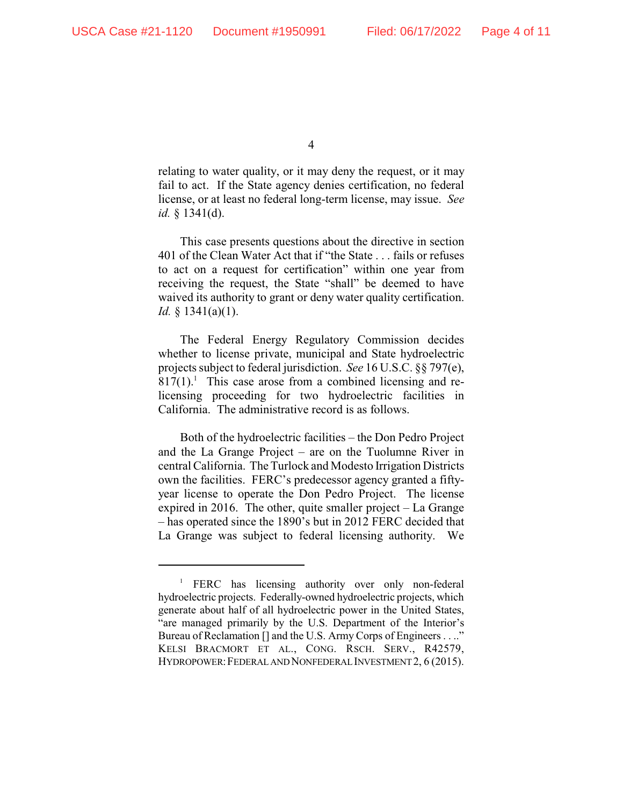relating to water quality, or it may deny the request, or it may fail to act. If the State agency denies certification, no federal license, or at least no federal long-term license, may issue. *See id.* § 1341(d).

This case presents questions about the directive in section 401 of the Clean Water Act that if "the State . . . fails or refuses to act on a request for certification" within one year from receiving the request, the State "shall" be deemed to have waived its authority to grant or deny water quality certification. *Id.* § 1341(a)(1).

The Federal Energy Regulatory Commission decides whether to license private, municipal and State hydroelectric projects subject to federal jurisdiction. *See* 16 U.S.C. §§ 797(e),  $817(1)$ . This case arose from a combined licensing and relicensing proceeding for two hydroelectric facilities in California. The administrative record is as follows.

Both of the hydroelectric facilities – the Don Pedro Project and the La Grange Project – are on the Tuolumne River in central California. The Turlock and Modesto Irrigation Districts own the facilities. FERC's predecessor agency granted a fiftyyear license to operate the Don Pedro Project. The license expired in 2016. The other, quite smaller project – La Grange – has operated since the 1890's but in 2012 FERC decided that La Grange was subject to federal licensing authority. We

<sup>&</sup>lt;sup>1</sup> FERC has licensing authority over only non-federal hydroelectric projects. Federally-owned hydroelectric projects, which generate about half of all hydroelectric power in the United States, "are managed primarily by the U.S. Department of the Interior's Bureau of Reclamation [] and the U.S. Army Corps of Engineers . . .." KELSI BRACMORT ET AL., CONG. RSCH. SERV., R42579, HYDROPOWER:FEDERAL AND NONFEDERAL INVESTMENT 2, 6 (2015).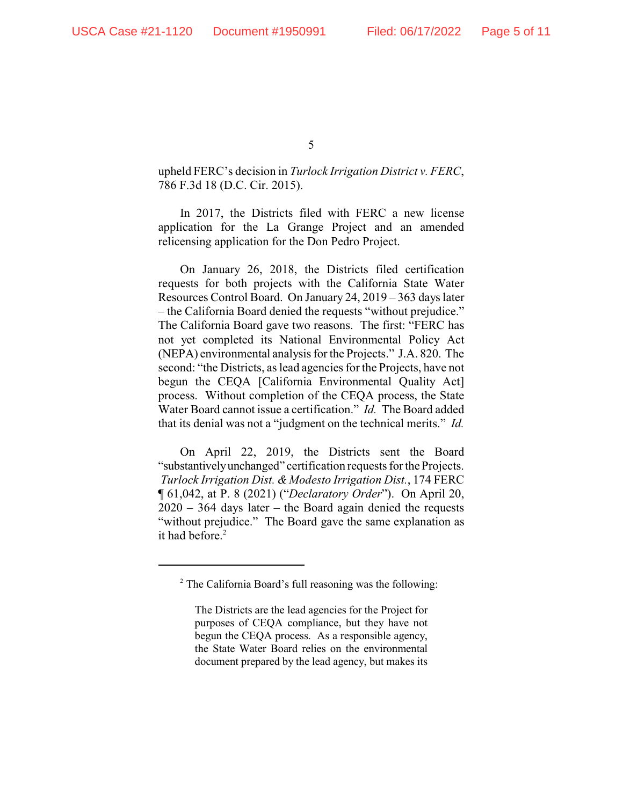upheld FERC's decision in *Turlock Irrigation District v. FERC*, 786 F.3d 18 (D.C. Cir. 2015).

In 2017, the Districts filed with FERC a new license application for the La Grange Project and an amended relicensing application for the Don Pedro Project.

On January 26, 2018, the Districts filed certification requests for both projects with the California State Water Resources Control Board. On January 24, 2019 – 363 days later – the California Board denied the requests "without prejudice." The California Board gave two reasons. The first: "FERC has not yet completed its National Environmental Policy Act (NEPA) environmental analysis for the Projects." J.A. 820. The second: "the Districts, as lead agencies for the Projects, have not begun the CEQA [California Environmental Quality Act] process. Without completion of the CEQA process, the State Water Board cannot issue a certification." *Id.* The Board added that its denial was not a "judgment on the technical merits." *Id.* 

On April 22, 2019, the Districts sent the Board "substantivelyunchanged" certification requests for the Projects. *Turlock Irrigation Dist. & Modesto Irrigation Dist.*, 174 FERC ¶ 61,042, at P. 8 (2021) ("*Declaratory Order*"). On April 20,  $2020 - 364$  days later – the Board again denied the requests "without prejudice." The Board gave the same explanation as it had before.<sup>2</sup>

 $2^2$  The California Board's full reasoning was the following:

The Districts are the lead agencies for the Project for purposes of CEQA compliance, but they have not begun the CEQA process. As a responsible agency, the State Water Board relies on the environmental document prepared by the lead agency, but makes its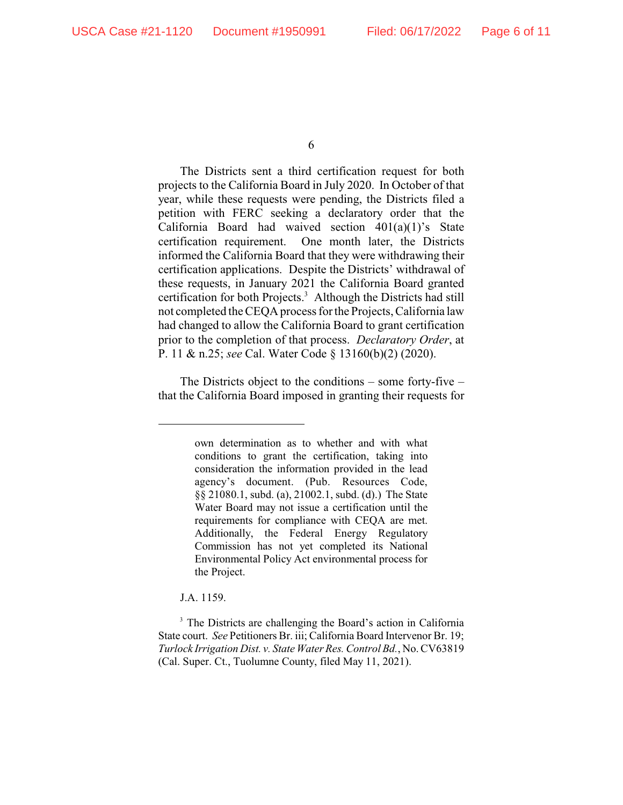The Districts sent a third certification request for both projects to the California Board in July 2020. In October of that year, while these requests were pending, the Districts filed a petition with FERC seeking a declaratory order that the California Board had waived section 401(a)(1)'s State certification requirement. One month later, the Districts informed the California Board that they were withdrawing their certification applications. Despite the Districts' withdrawal of these requests, in January 2021 the California Board granted certification for both Projects.<sup>3</sup> Although the Districts had still not completed the CEQA process for the Projects, California law had changed to allow the California Board to grant certification prior to the completion of that process. *Declaratory Order*, at P. 11 & n.25; *see* Cal. Water Code § 13160(b)(2) (2020).

The Districts object to the conditions – some forty-five – that the California Board imposed in granting their requests for

J.A. 1159.

own determination as to whether and with what conditions to grant the certification, taking into consideration the information provided in the lead agency's document. (Pub. Resources Code, §§ 21080.1, subd. (a), 21002.1, subd. (d).) The State Water Board may not issue a certification until the requirements for compliance with CEQA are met. Additionally, the Federal Energy Regulatory Commission has not yet completed its National Environmental Policy Act environmental process for the Project.

<sup>&</sup>lt;sup>3</sup> The Districts are challenging the Board's action in California State court. *See* Petitioners Br. iii; California Board Intervenor Br. 19; *Turlock Irrigation Dist. v. State WaterRes. Control Bd.*, No. CV63819 (Cal. Super. Ct., Tuolumne County, filed May 11, 2021).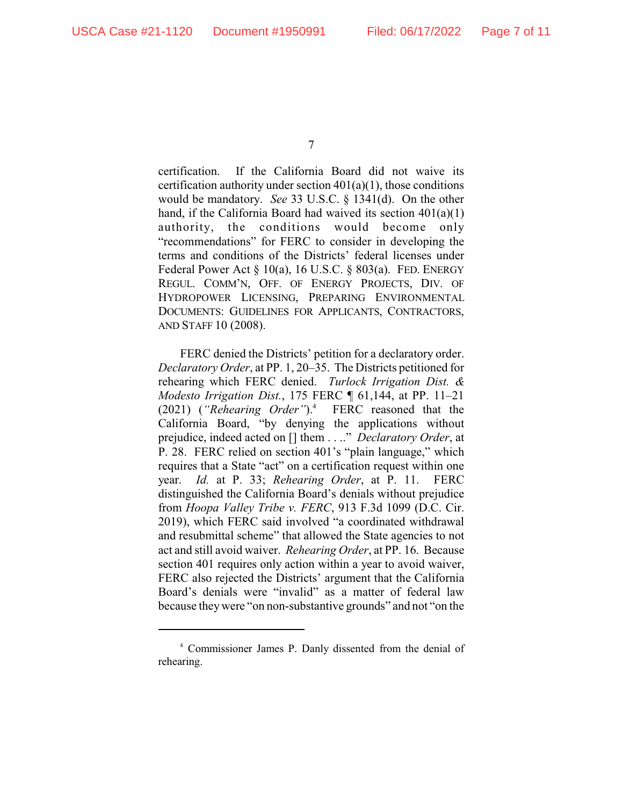certification. If the California Board did not waive its certification authority under section  $401(a)(1)$ , those conditions would be mandatory. *See* 33 U.S.C. § 1341(d). On the other hand, if the California Board had waived its section  $401(a)(1)$ authority, the conditions would become only "recommendations" for FERC to consider in developing the terms and conditions of the Districts' federal licenses under Federal Power Act § 10(a), 16 U.S.C. § 803(a). FED. ENERGY REGUL. COMM'N, OFF. OF ENERGY PROJECTS, DIV. OF HYDROPOWER LICENSING, PREPARING ENVIRONMENTAL DOCUMENTS: GUIDELINES FOR APPLICANTS, CONTRACTORS, AND STAFF 10 (2008).

FERC denied the Districts' petition for a declaratory order. *Declaratory Order*, at PP. 1, 20–35. The Districts petitioned for rehearing which FERC denied. *Turlock Irrigation Dist. & Modesto Irrigation Dist.*, 175 FERC ¶ 61,144, at PP. 11–21 (2021) (*"Rehearing Order"*).<sup>4</sup> FERC reasoned that the California Board, "by denying the applications without prejudice, indeed acted on [] them . . .." *Declaratory Order*, at P. 28. FERC relied on section 401's "plain language," which requires that a State "act" on a certification request within one year. *Id.* at P. 33; *Rehearing Order*, at P. 11. FERC distinguished the California Board's denials without prejudice from *Hoopa Valley Tribe v. FERC*, 913 F.3d 1099 (D.C. Cir. 2019), which FERC said involved "a coordinated withdrawal and resubmittal scheme" that allowed the State agencies to not act and still avoid waiver. *Rehearing Order*, at PP. 16. Because section 401 requires only action within a year to avoid waiver, FERC also rejected the Districts' argument that the California Board's denials were "invalid" as a matter of federal law because theywere "on non-substantive grounds" and not "on the

<sup>7</sup>

<sup>&</sup>lt;sup>4</sup> Commissioner James P. Danly dissented from the denial of rehearing.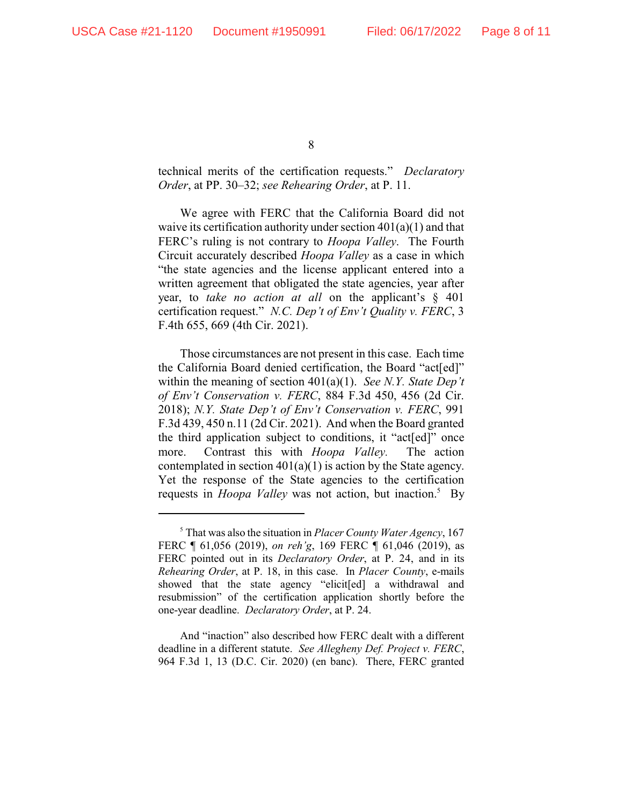technical merits of the certification requests." *Declaratory Order*, at PP. 30–32; *see Rehearing Order*, at P. 11.

We agree with FERC that the California Board did not waive its certification authority under section  $401(a)(1)$  and that FERC's ruling is not contrary to *Hoopa Valley*. The Fourth Circuit accurately described *Hoopa Valley* as a case in which "the state agencies and the license applicant entered into a written agreement that obligated the state agencies, year after year, to *take no action at all* on the applicant's § 401 certification request." *N.C. Dep't of Env't Quality v. FERC*, 3 F.4th 655, 669 (4th Cir. 2021).

Those circumstances are not present in this case. Each time the California Board denied certification, the Board "act[ed]" within the meaning of section 401(a)(1). *See N.Y. State Dep't of Env't Conservation v. FERC*, 884 F.3d 450, 456 (2d Cir. 2018); *N.Y. State Dep't of Env't Conservation v. FERC*, 991 F.3d 439, 450 n.11 (2d Cir. 2021). And when the Board granted the third application subject to conditions, it "act[ed]" once more. Contrast this with *Hoopa Valley.* The action contemplated in section  $401(a)(1)$  is action by the State agency. Yet the response of the State agencies to the certification requests in *Hoopa Valley* was not action, but inaction.<sup>5</sup> By

And "inaction" also described how FERC dealt with a different deadline in a different statute. *See Allegheny Def. Project v. FERC*, 964 F.3d 1, 13 (D.C. Cir. 2020) (en banc). There, FERC granted

That was also the situation in *Placer County Water Agency*, 167 <sup>5</sup> FERC ¶ 61,056 (2019), *on reh'g*, 169 FERC ¶ 61,046 (2019), as FERC pointed out in its *Declaratory Order*, at P. 24, and in its *Rehearing Order*, at P. 18, in this case. In *Placer County*, e-mails showed that the state agency "elicit[ed] a withdrawal and resubmission" of the certification application shortly before the one-year deadline. *Declaratory Order*, at P. 24.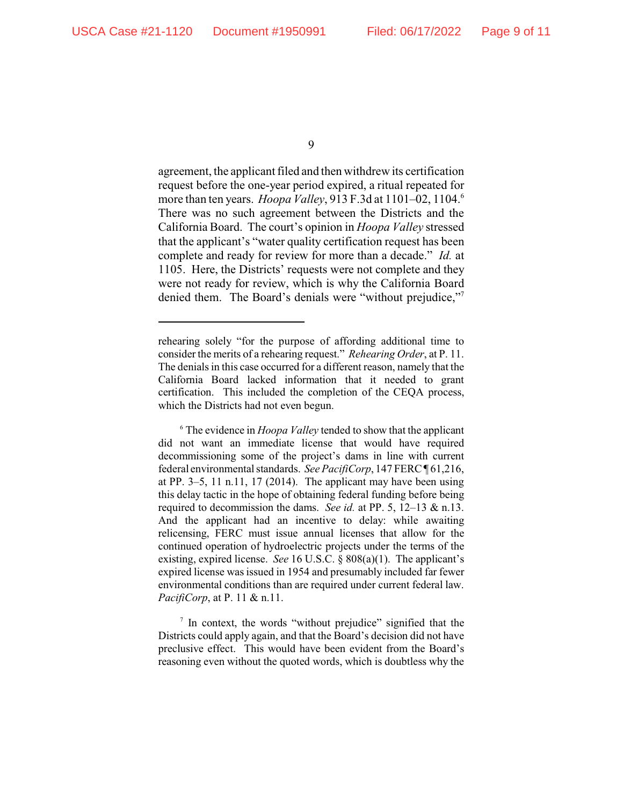agreement, the applicant filed and then withdrew its certification request before the one-year period expired, a ritual repeated for more than ten years. *Hoopa Valley*, 913 F.3d at 1101–02, 1104.<sup>6</sup> There was no such agreement between the Districts and the California Board. The court's opinion in *Hoopa Valley* stressed that the applicant's "water quality certification request has been complete and ready for review for more than a decade." *Id.* at 1105. Here, the Districts' requests were not complete and they were not ready for review, which is why the California Board denied them. The Board's denials were "without prejudice,"7

 $\frac{7}{7}$  In context, the words "without prejudice" signified that the Districts could apply again, and that the Board's decision did not have preclusive effect. This would have been evident from the Board's reasoning even without the quoted words, which is doubtless why the

rehearing solely "for the purpose of affording additional time to consider the merits of a rehearing request." *Rehearing Order*, at P. 11. The denials in this case occurred for a different reason, namely that the California Board lacked information that it needed to grant certification. This included the completion of the CEQA process, which the Districts had not even begun.

The evidence in *Hoopa Valley* tended to show that the applicant <sup>6</sup> did not want an immediate license that would have required decommissioning some of the project's dams in line with current federal environmental standards. *See PacifiCorp*, 147 FERC ¶ 61,216, at PP.  $3-5$ , 11 n.11, 17 (2014). The applicant may have been using this delay tactic in the hope of obtaining federal funding before being required to decommission the dams. *See id.* at PP. 5, 12–13 & n.13. And the applicant had an incentive to delay: while awaiting relicensing, FERC must issue annual licenses that allow for the continued operation of hydroelectric projects under the terms of the existing, expired license. *See* 16 U.S.C. § 808(a)(1). The applicant's expired license was issued in 1954 and presumably included far fewer environmental conditions than are required under current federal law. *PacifiCorp*, at P. 11 & n.11.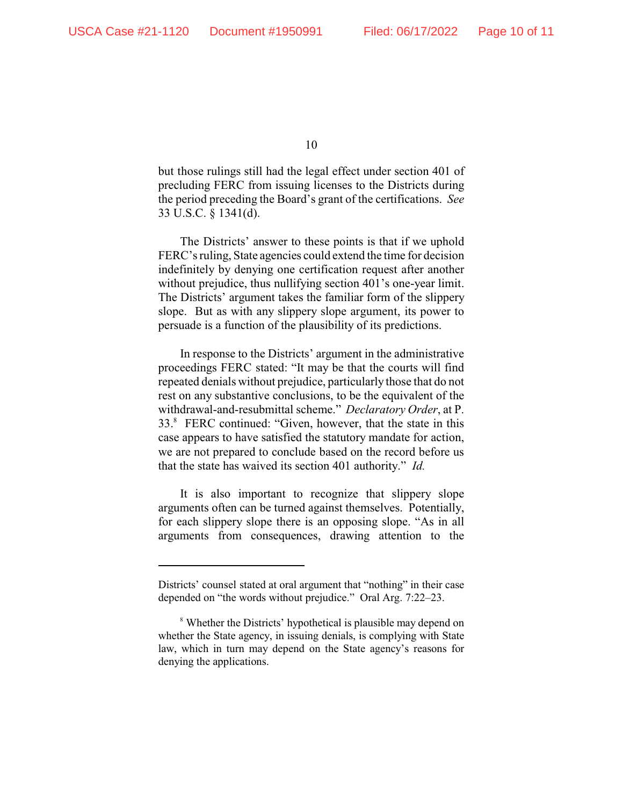but those rulings still had the legal effect under section 401 of precluding FERC from issuing licenses to the Districts during the period preceding the Board's grant of the certifications. *See* 33 U.S.C. § 1341(d).

The Districts' answer to these points is that if we uphold FERC's ruling, State agencies could extend the time for decision indefinitely by denying one certification request after another without prejudice, thus nullifying section 401's one-year limit. The Districts' argument takes the familiar form of the slippery slope. But as with any slippery slope argument, its power to persuade is a function of the plausibility of its predictions.

In response to the Districts' argument in the administrative proceedings FERC stated: "It may be that the courts will find repeated denials without prejudice, particularly those that do not rest on any substantive conclusions, to be the equivalent of the withdrawal-and-resubmittal scheme." *Declaratory Order*, at P. 33.<sup>8</sup> FERC continued: "Given, however, that the state in this case appears to have satisfied the statutory mandate for action, we are not prepared to conclude based on the record before us that the state has waived its section 401 authority." *Id.* 

It is also important to recognize that slippery slope arguments often can be turned against themselves. Potentially, for each slippery slope there is an opposing slope. "As in all arguments from consequences, drawing attention to the

Districts' counsel stated at oral argument that "nothing" in their case depended on "the words without prejudice." Oral Arg. 7:22–23.

<sup>&</sup>lt;sup>8</sup> Whether the Districts' hypothetical is plausible may depend on whether the State agency, in issuing denials, is complying with State law, which in turn may depend on the State agency's reasons for denying the applications.